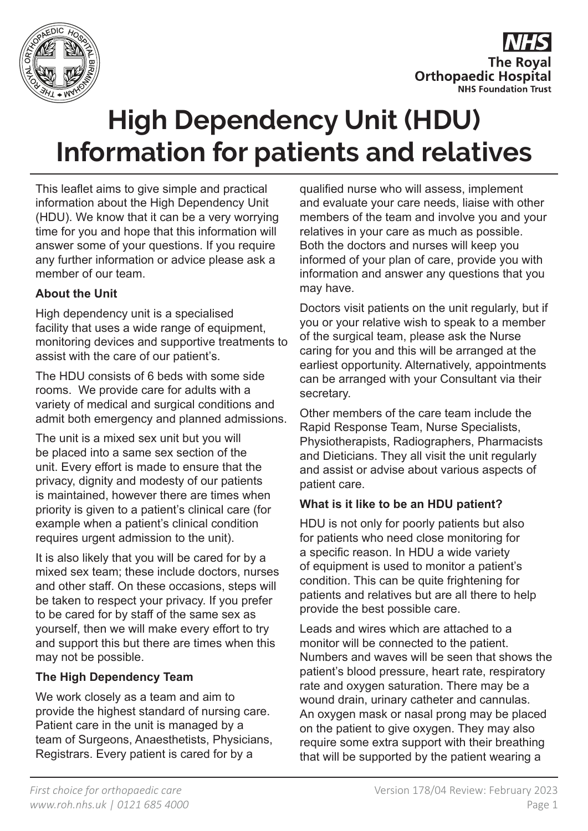



# **High Dependency Unit (HDU) Information for patients and relatives**

This leaflet aims to give simple and practical information about the High Dependency Unit (HDU). We know that it can be a very worrying time for you and hope that this information will answer some of your questions. If you require any further information or advice please ask a member of our team.

## **About the Unit**

High dependency unit is a specialised facility that uses a wide range of equipment, monitoring devices and supportive treatments to assist with the care of our patient's.

The HDU consists of 6 beds with some side rooms. We provide care for adults with a variety of medical and surgical conditions and admit both emergency and planned admissions.

The unit is a mixed sex unit but you will be placed into a same sex section of the unit. Every effort is made to ensure that the privacy, dignity and modesty of our patients is maintained, however there are times when priority is given to a patient's clinical care (for example when a patient's clinical condition requires urgent admission to the unit).

It is also likely that you will be cared for by a mixed sex team; these include doctors, nurses and other staff. On these occasions, steps will be taken to respect your privacy. If you prefer to be cared for by staff of the same sex as yourself, then we will make every effort to try and support this but there are times when this may not be possible.

## **The High Dependency Team**

We work closely as a team and aim to provide the highest standard of nursing care. Patient care in the unit is managed by a team of Surgeons, Anaesthetists, Physicians, Registrars. Every patient is cared for by a

qualified nurse who will assess, implement and evaluate your care needs, liaise with other members of the team and involve you and your relatives in your care as much as possible. Both the doctors and nurses will keep you informed of your plan of care, provide you with information and answer any questions that you may have.

Doctors visit patients on the unit regularly, but if you or your relative wish to speak to a member of the surgical team, please ask the Nurse caring for you and this will be arranged at the earliest opportunity. Alternatively, appointments can be arranged with your Consultant via their secretary.

Other members of the care team include the Rapid Response Team, Nurse Specialists, Physiotherapists, Radiographers, Pharmacists and Dieticians. They all visit the unit regularly and assist or advise about various aspects of patient care.

#### **What is it like to be an HDU patient?**

HDU is not only for poorly patients but also for patients who need close monitoring for a specific reason. In HDU a wide variety of equipment is used to monitor a patient's condition. This can be quite frightening for patients and relatives but are all there to help provide the best possible care.

Leads and wires which are attached to a monitor will be connected to the patient. Numbers and waves will be seen that shows the patient's blood pressure, heart rate, respiratory rate and oxygen saturation. There may be a wound drain, urinary catheter and cannulas. An oxygen mask or nasal prong may be placed on the patient to give oxygen. They may also require some extra support with their breathing that will be supported by the patient wearing a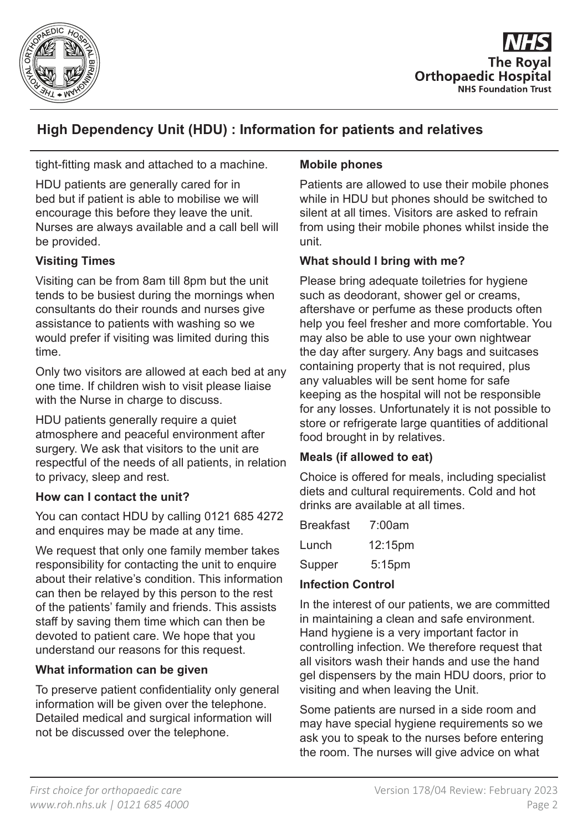



# **High Dependency Unit (HDU) : Information for patients and relatives**

tight-fitting mask and attached to a machine.

HDU patients are generally cared for in bed but if patient is able to mobilise we will encourage this before they leave the unit. Nurses are always available and a call bell will be provided.

#### **Visiting Times**

Visiting can be from 8am till 8pm but the unit tends to be busiest during the mornings when consultants do their rounds and nurses give assistance to patients with washing so we would prefer if visiting was limited during this time.

Only two visitors are allowed at each bed at any one time. If children wish to visit please liaise with the Nurse in charge to discuss.

HDU patients generally require a quiet atmosphere and peaceful environment after surgery. We ask that visitors to the unit are respectful of the needs of all patients, in relation to privacy, sleep and rest.

#### **How can I contact the unit?**

You can contact HDU by calling 0121 685 4272 and enquires may be made at any time.

We request that only one family member takes responsibility for contacting the unit to enquire about their relative's condition. This information can then be relayed by this person to the rest of the patients' family and friends. This assists staff by saving them time which can then be devoted to patient care. We hope that you understand our reasons for this request.

#### **What information can be given**

To preserve patient confidentiality only general information will be given over the telephone. Detailed medical and surgical information will not be discussed over the telephone.

#### **Mobile phones**

Patients are allowed to use their mobile phones while in HDU but phones should be switched to silent at all times. Visitors are asked to refrain from using their mobile phones whilst inside the unit.

#### **What should I bring with me?**

Please bring adequate toiletries for hygiene such as deodorant, shower gel or creams, aftershave or perfume as these products often help you feel fresher and more comfortable. You may also be able to use your own nightwear the day after surgery. Any bags and suitcases containing property that is not required, plus any valuables will be sent home for safe keeping as the hospital will not be responsible for any losses. Unfortunately it is not possible to store or refrigerate large quantities of additional food brought in by relatives.

#### **Meals (if allowed to eat)**

Choice is offered for meals, including specialist diets and cultural requirements. Cold and hot drinks are available at all times.

| <b>Breakfast</b> | 7:00am    |
|------------------|-----------|
| Lunch            | 12:15pm   |
| Supper           | $5:15$ pm |

#### **Infection Control**

In the interest of our patients, we are committed in maintaining a clean and safe environment. Hand hygiene is a very important factor in controlling infection. We therefore request that all visitors wash their hands and use the hand gel dispensers by the main HDU doors, prior to visiting and when leaving the Unit.

Some patients are nursed in a side room and may have special hygiene requirements so we ask you to speak to the nurses before entering the room. The nurses will give advice on what